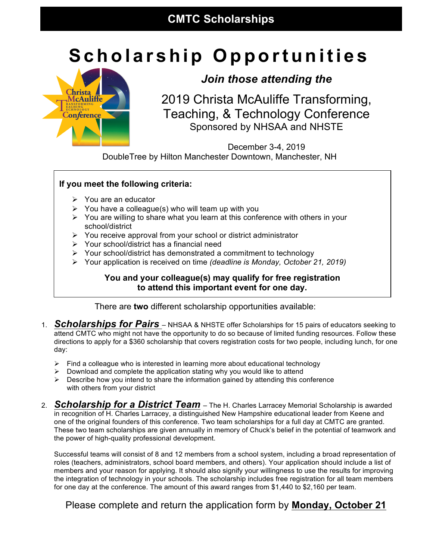# **Scholarship Opportunities**



## *Join those attending the*

2019 Christa McAuliffe Transforming, Teaching, & Technology Conference Sponsored by NHSAA and NHSTE

December 3-4, 2019 DoubleTree by Hilton Manchester Downtown, Manchester, NH

#### **If you meet the following criteria:**

- $\triangleright$  You are an educator
- $\triangleright$  You have a colleague(s) who will team up with you
- $\triangleright$  You are willing to share what you learn at this conference with others in your school/district
- $\triangleright$  You receive approval from your school or district administrator
- $\triangleright$  Your school/district has a financial need
- Ø Your school/district has demonstrated a commitment to technology
- Ø Your application is received on time *(deadline is Monday, October 21, 2019)*

#### **You and your colleague(s) may qualify for free registration to attend this important event for one day.**

There are **two** different scholarship opportunities available:

- 1. *Scholarships for Pairs* NHSAA & NHSTE offer Scholarships for 15 pairs of educators seeking to attend CMTC who might not have the opportunity to do so because of limited funding resources. Follow these directions to apply for a \$360 scholarship that covers registration costs for two people, including lunch, for one day:
	- $\triangleright$  Find a colleague who is interested in learning more about educational technology
	- $\triangleright$  Download and complete the application stating why you would like to attend
	- $\triangleright$  Describe how you intend to share the information gained by attending this conference with others from your district
- 2. *Scholarship for a District Team* The H. Charles Larracey Memorial Scholarship is awarded in recognition of H. Charles Larracey, a distinguished New Hampshire educational leader from Keene and one of the original founders of this conference. Two team scholarships for a full day at CMTC are granted. These two team scholarships are given annually in memory of Chuck's belief in the potential of teamwork and the power of high-quality professional development.

Successful teams will consist of 8 and 12 members from a school system, including a broad representation of roles (teachers, administrators, school board members, and others). Your application should include a list of members and your reason for applying. It should also signify your willingness to use the results for improving the integration of technology in your schools. The scholarship includes free registration for all team members for one day at the conference. The amount of this award ranges from \$1,440 to \$2,160 per team.

### Please complete and return the application form by **Monday, October 21**